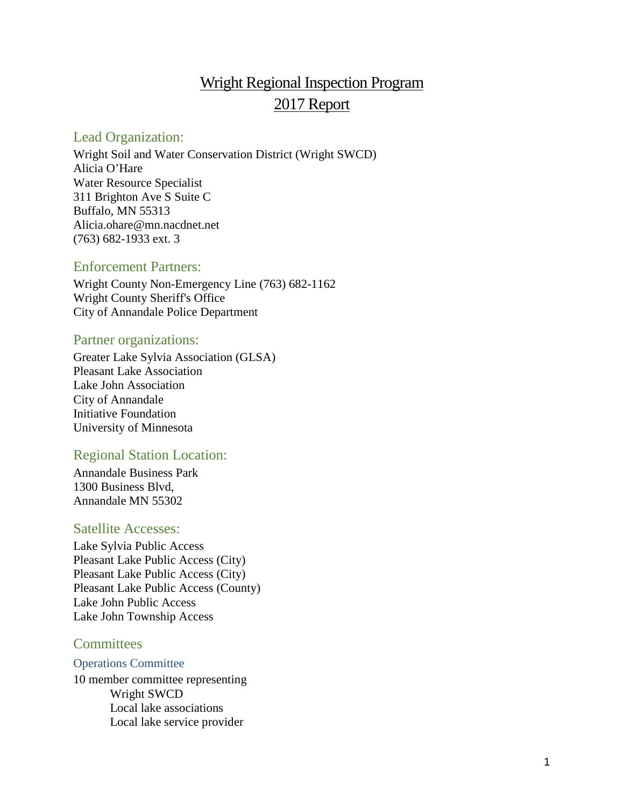# Wright Regional Inspection Program 2017 Report

### <span id="page-0-0"></span>Lead Organization:

Wright Soil and Water Conservation District (Wright SWCD) Alicia O'Hare Water Resource Specialist 311 Brighton Ave S Suite C Buffalo, MN 55313 Alicia.ohare@mn.nacdnet.net (763) 682-1933 ext. 3

### <span id="page-0-1"></span>Enforcement Partners:

Wright County Non-Emergency Line (763) 682-1162 Wright County Sheriff's Office City of Annandale Police Department

### <span id="page-0-2"></span>Partner organizations:

Greater Lake Sylvia Association (GLSA) Pleasant Lake Association Lake John Association City of Annandale Initiative Foundation University of Minnesota

### <span id="page-0-3"></span>Regional Station Location:

Annandale Business Park 1300 Business Blvd, Annandale MN 55302

### <span id="page-0-4"></span>Satellite Accesses:

Lake Sylvia Public Access Pleasant Lake Public Access (City) Pleasant Lake Public Access (City) Pleasant Lake Public Access (County) Lake John Public Access Lake John Township Access

### <span id="page-0-5"></span>**Committees**

#### <span id="page-0-6"></span>Operations Committee

10 member committee representing Wright SWCD Local lake associations Local lake service provider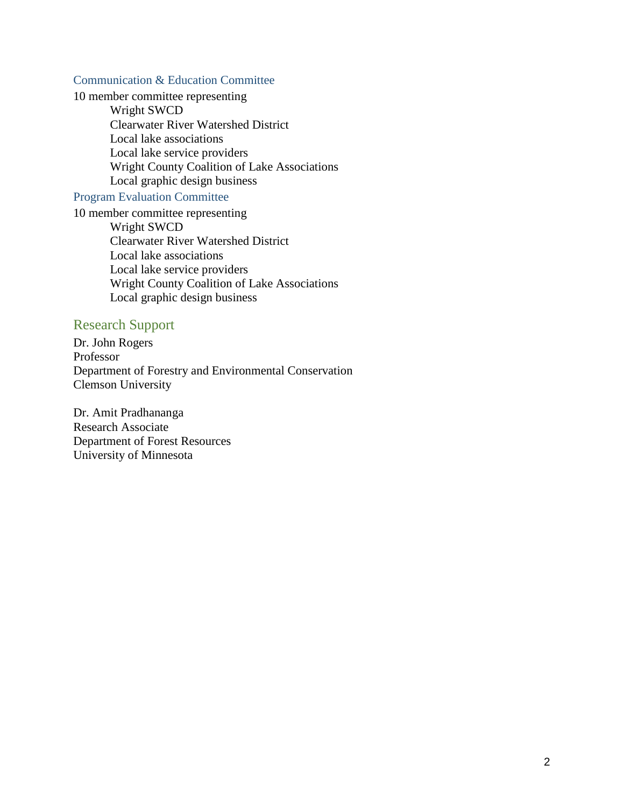#### <span id="page-1-0"></span>Communication & Education Committee

10 member committee representing Wright SWCD Clearwater River Watershed District Local lake associations Local lake service providers Wright County Coalition of Lake Associations Local graphic design business

#### <span id="page-1-1"></span>Program Evaluation Committee

10 member committee representing Wright SWCD Clearwater River Watershed District Local lake associations Local lake service providers Wright County Coalition of Lake Associations Local graphic design business

#### <span id="page-1-2"></span>Research Support

Dr. John Rogers Professor Department of Forestry and Environmental Conservation Clemson University

Dr. Amit Pradhananga Research Associate Department of Forest Resources University of Minnesota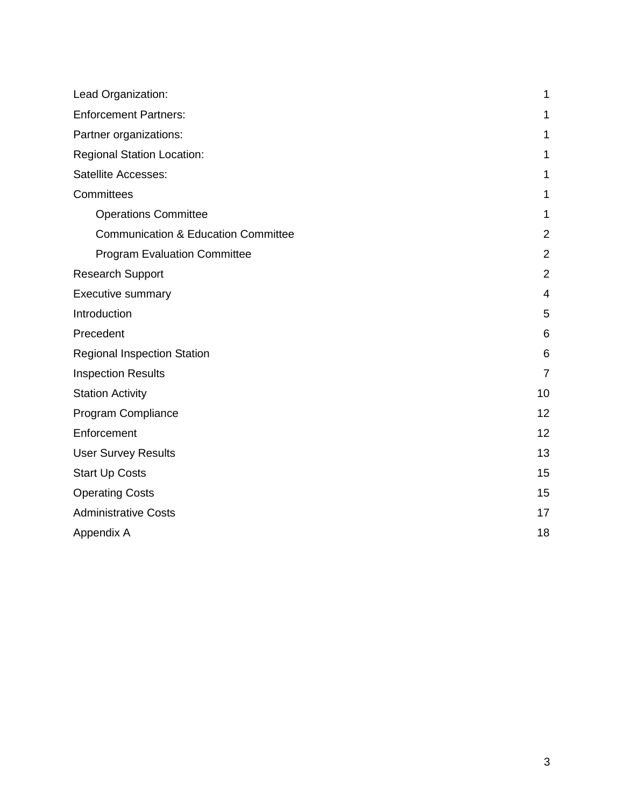| Lead Organization:                             | 1              |
|------------------------------------------------|----------------|
| <b>Enforcement Partners:</b>                   | 1              |
| Partner organizations:                         | 1              |
| <b>Regional Station Location:</b>              | 1              |
| <b>Satellite Accesses:</b>                     | 1              |
| Committees                                     | 1              |
| <b>Operations Committee</b>                    | 1              |
| <b>Communication &amp; Education Committee</b> | $\overline{2}$ |
| <b>Program Evaluation Committee</b>            | $\overline{2}$ |
| <b>Research Support</b>                        | $\overline{2}$ |
| <b>Executive summary</b>                       | $\overline{4}$ |
| Introduction                                   | 5              |
| Precedent                                      | 6              |
| Regional Inspection Station                    | 6              |
| <b>Inspection Results</b>                      | $\overline{7}$ |
| <b>Station Activity</b>                        | 10             |
| Program Compliance                             | 12             |
| Enforcement                                    | 12             |
| <b>User Survey Results</b>                     | 13             |
| <b>Start Up Costs</b>                          | 15             |
| <b>Operating Costs</b>                         | 15             |
| <b>Administrative Costs</b>                    | 17             |
| Appendix A                                     | 18             |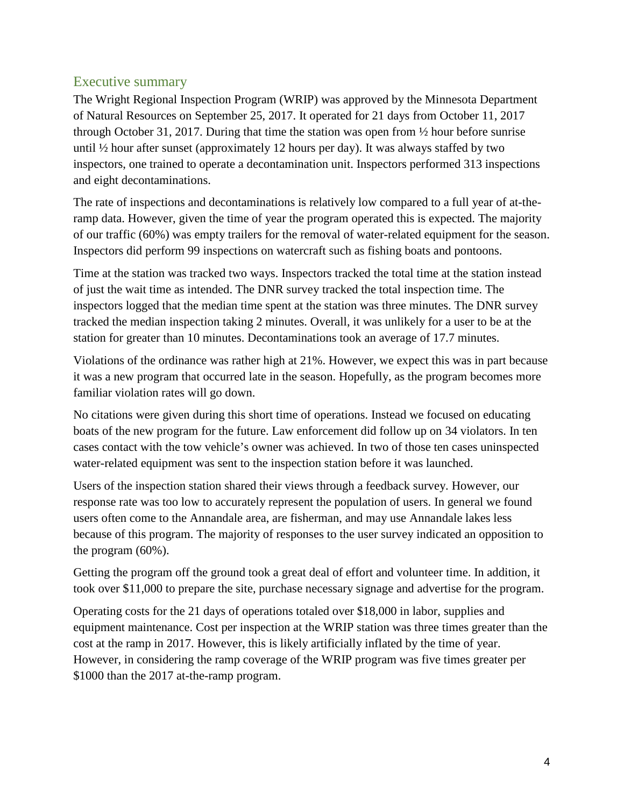### <span id="page-3-0"></span>Executive summary

The Wright Regional Inspection Program (WRIP) was approved by the Minnesota Department of Natural Resources on September 25, 2017. It operated for 21 days from October 11, 2017 through October 31, 2017. During that time the station was open from ½ hour before sunrise until ½ hour after sunset (approximately 12 hours per day). It was always staffed by two inspectors, one trained to operate a decontamination unit. Inspectors performed 313 inspections and eight decontaminations.

The rate of inspections and decontaminations is relatively low compared to a full year of at-theramp data. However, given the time of year the program operated this is expected. The majority of our traffic (60%) was empty trailers for the removal of water-related equipment for the season. Inspectors did perform 99 inspections on watercraft such as fishing boats and pontoons.

Time at the station was tracked two ways. Inspectors tracked the total time at the station instead of just the wait time as intended. The DNR survey tracked the total inspection time. The inspectors logged that the median time spent at the station was three minutes. The DNR survey tracked the median inspection taking 2 minutes. Overall, it was unlikely for a user to be at the station for greater than 10 minutes. Decontaminations took an average of 17.7 minutes.

Violations of the ordinance was rather high at 21%. However, we expect this was in part because it was a new program that occurred late in the season. Hopefully, as the program becomes more familiar violation rates will go down.

No citations were given during this short time of operations. Instead we focused on educating boats of the new program for the future. Law enforcement did follow up on 34 violators. In ten cases contact with the tow vehicle's owner was achieved. In two of those ten cases uninspected water-related equipment was sent to the inspection station before it was launched.

Users of the inspection station shared their views through a feedback survey. However, our response rate was too low to accurately represent the population of users. In general we found users often come to the Annandale area, are fisherman, and may use Annandale lakes less because of this program. The majority of responses to the user survey indicated an opposition to the program (60%).

Getting the program off the ground took a great deal of effort and volunteer time. In addition, it took over \$11,000 to prepare the site, purchase necessary signage and advertise for the program.

Operating costs for the 21 days of operations totaled over \$18,000 in labor, supplies and equipment maintenance. Cost per inspection at the WRIP station was three times greater than the cost at the ramp in 2017. However, this is likely artificially inflated by the time of year. However, in considering the ramp coverage of the WRIP program was five times greater per \$1000 than the 2017 at-the-ramp program.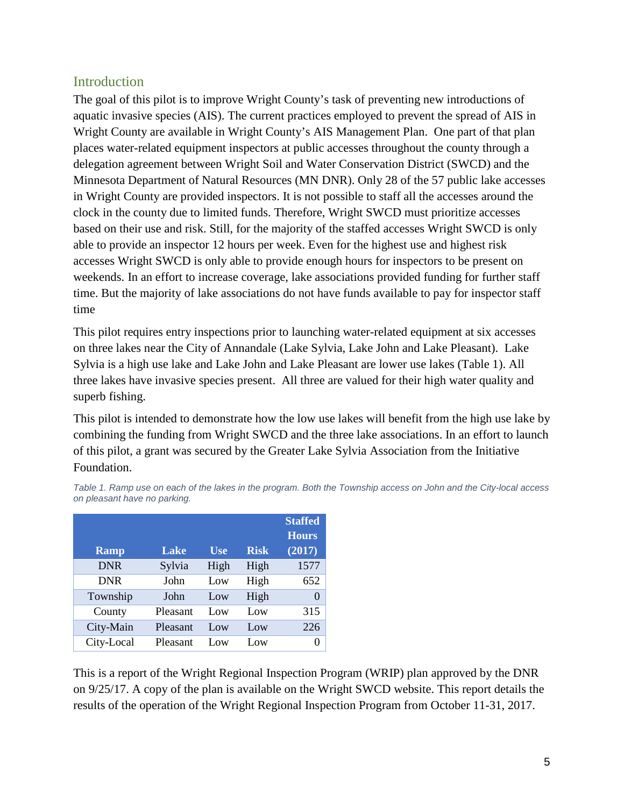### <span id="page-4-0"></span>Introduction

The goal of this pilot is to improve Wright County's task of preventing new introductions of aquatic invasive species (AIS). The current practices employed to prevent the spread of AIS in Wright County are available in Wright County's AIS Management Plan. One part of that plan places water-related equipment inspectors at public accesses throughout the county through a delegation agreement between Wright Soil and Water Conservation District (SWCD) and the Minnesota Department of Natural Resources (MN DNR). Only 28 of the 57 public lake accesses in Wright County are provided inspectors. It is not possible to staff all the accesses around the clock in the county due to limited funds. Therefore, Wright SWCD must prioritize accesses based on their use and risk. Still, for the majority of the staffed accesses Wright SWCD is only able to provide an inspector 12 hours per week. Even for the highest use and highest risk accesses Wright SWCD is only able to provide enough hours for inspectors to be present on weekends. In an effort to increase coverage, lake associations provided funding for further staff time. But the majority of lake associations do not have funds available to pay for inspector staff time

This pilot requires entry inspections prior to launching water-related equipment at six accesses on three lakes near the City of Annandale (Lake Sylvia, Lake John and Lake Pleasant). Lake Sylvia is a high use lake and Lake John and Lake Pleasant are lower use lakes (Table 1). All three lakes have invasive species present. All three are valued for their high water quality and superb fishing.

This pilot is intended to demonstrate how the low use lakes will benefit from the high use lake by combining the funding from Wright SWCD and the three lake associations. In an effort to launch of this pilot, a grant was secured by the Greater Lake Sylvia Association from the Initiative Foundation.

|             |          |                 |             | <b>Staffed</b>   |
|-------------|----------|-----------------|-------------|------------------|
|             |          |                 |             | <b>Hours</b>     |
| <b>Ramp</b> | Lake     | <b>Use</b>      | <b>Risk</b> | (2017)           |
| <b>DNR</b>  | Sylvia   | High            | High        | 1577             |
| <b>DNR</b>  | John     | Low             | High        | 652              |
| Township    | John     | Low             | High        | $\left( \right)$ |
| County      | Pleasant | Low             | Low         | 315              |
| City-Main   | Pleasant | Low             | Low         | 226              |
| City-Local  | Pleasant | $_{\text{Low}}$ | Low         | $\left( \right)$ |

*Table 1. Ramp use on each of the lakes in the program. Both the Township access on John and the City-local access on pleasant have no parking.* 

This is a report of the Wright Regional Inspection Program (WRIP) plan approved by the DNR on 9/25/17. A copy of the plan is available on the [Wright SWCD website.](http://wrightswcd.org/Water_Management/WRIP_approved.pdf) This report details the results of the operation of the Wright Regional Inspection Program from October 11-31, 2017.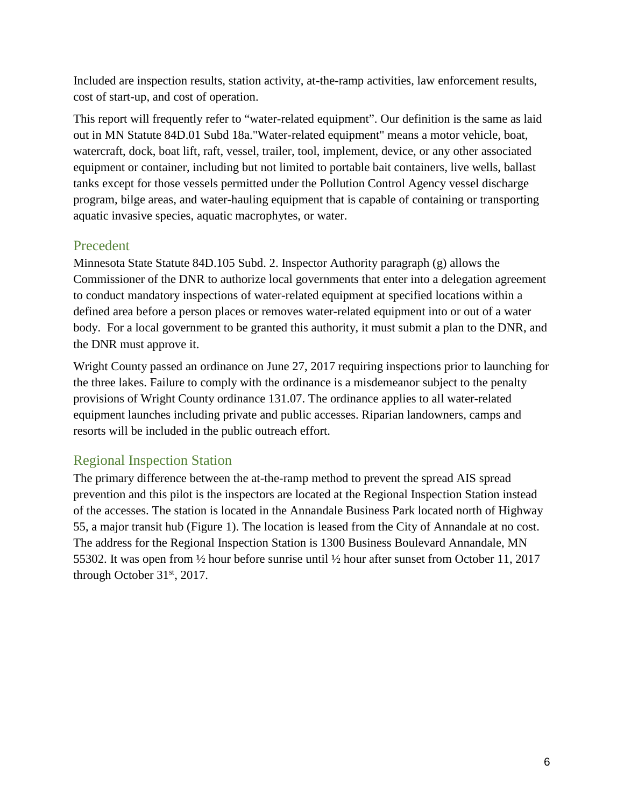Included are inspection results, station activity, at-the-ramp activities, law enforcement results, cost of start-up, and cost of operation.

This report will frequently refer to "water-related equipment". Our definition is the same as laid out in MN Statute 84D.01 Subd 18a."Water-related equipment" means a motor vehicle, boat, watercraft, dock, boat lift, raft, vessel, trailer, tool, implement, device, or any other associated equipment or container, including but not limited to portable bait containers, live wells, ballast tanks except for those vessels permitted under the Pollution Control Agency vessel discharge program, bilge areas, and water-hauling equipment that is capable of containing or transporting aquatic invasive species, aquatic macrophytes, or water.

### <span id="page-5-0"></span>Precedent

Minnesota State Statute 84D.105 Subd. 2. Inspector Authority paragraph (g) allows the Commissioner of the DNR to authorize local governments that enter into a delegation agreement to conduct mandatory inspections of water-related equipment at specified locations within a defined area before a person places or removes water-related equipment into or out of a water body. For a local government to be granted this authority, it must submit a plan to the DNR, and the DNR must approve it.

Wright County passed an ordinance on June 27, 2017 requiring inspections prior to launching for the three lakes. Failure to comply with the ordinance is a misdemeanor subject to the penalty provisions of Wright County ordinance 131.07. The ordinance applies to all water-related equipment launches including private and public accesses. Riparian landowners, camps and resorts will be included in the public outreach effort.

## <span id="page-5-1"></span>Regional Inspection Station

The primary difference between the at-the-ramp method to prevent the spread AIS spread prevention and this pilot is the inspectors are located at the Regional Inspection Station instead of the accesses. The station is located in the Annandale Business Park located north of Highway 55, a major transit hub (Figure 1). The location is leased from the City of Annandale at no cost. The address for the Regional Inspection Station is 1300 Business Boulevard Annandale, MN 55302. It was open from ½ hour before sunrise until ½ hour after sunset from October 11, 2017 through October 31st, 2017.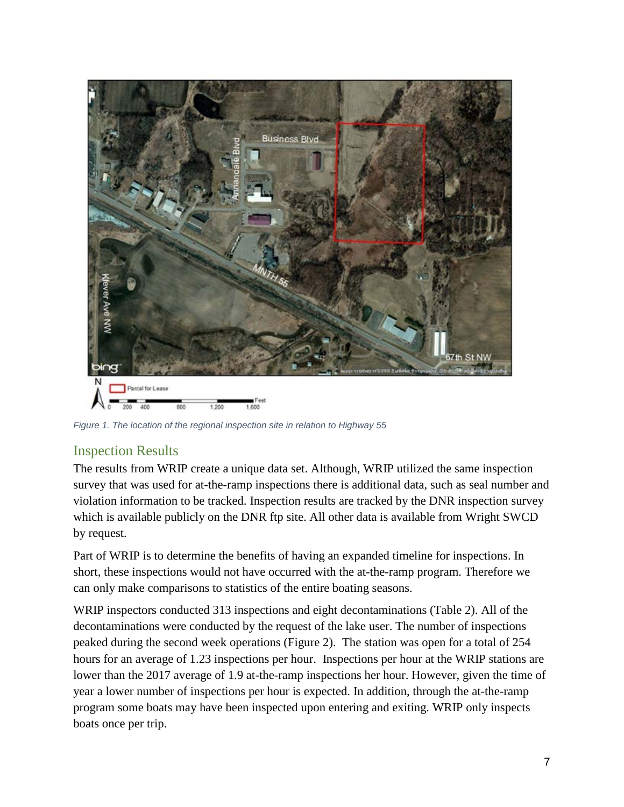

*Figure 1. The location of the regional inspection site in relation to Highway 55*

### <span id="page-6-0"></span>Inspection Results

The results from WRIP create a unique data set. Although, WRIP utilized the same inspection survey that was used for at-the-ramp inspections there is additional data, such as seal number and violation information to be tracked. Inspection results are tracked by the DNR inspection survey which is available publicly on the DNR ftp site. All other data is available from Wright SWCD by request.

Part of WRIP is to determine the benefits of having an expanded timeline for inspections. In short, these inspections would not have occurred with the at-the-ramp program. Therefore we can only make comparisons to statistics of the entire boating seasons.

WRIP inspectors conducted 313 inspections and eight decontaminations (Table 2). All of the decontaminations were conducted by the request of the lake user. The number of inspections peaked during the second week operations (Figure 2). The station was open for a total of 254 hours for an average of 1.23 inspections per hour. Inspections per hour at the WRIP stations are lower than the 2017 average of 1.9 at-the-ramp inspections her hour. However, given the time of year a lower number of inspections per hour is expected. In addition, through the at-the-ramp program some boats may have been inspected upon entering and exiting. WRIP only inspects boats once per trip.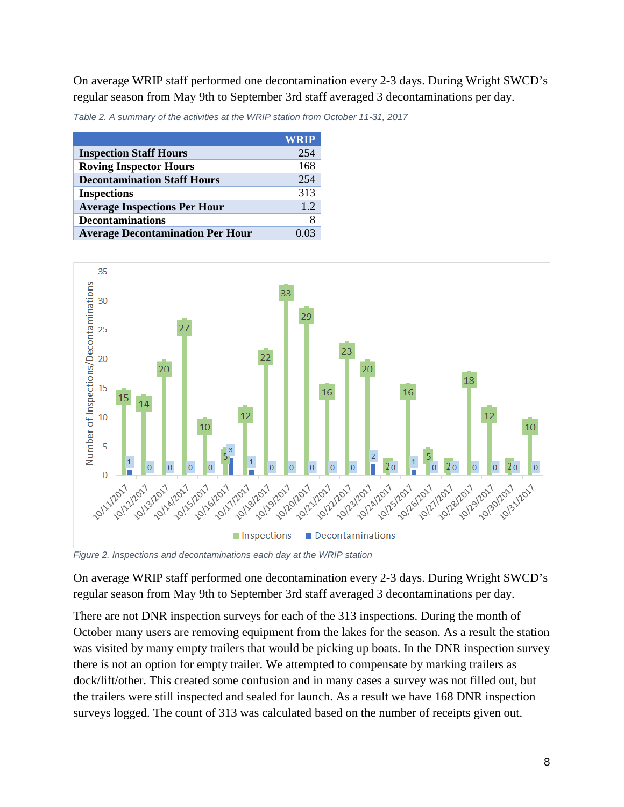On average WRIP staff performed one decontamination every 2-3 days. During Wright SWCD's regular season from May 9th to September 3rd staff averaged 3 decontaminations per day.

*Table 2. A summary of the activities at the WRIP station from October 11-31, 2017*

|                                         | <b>WRIP</b> |
|-----------------------------------------|-------------|
| <b>Inspection Staff Hours</b>           | 254         |
| <b>Roving Inspector Hours</b>           | 168         |
| <b>Decontamination Staff Hours</b>      | 254         |
| <b>Inspections</b>                      | 313         |
| <b>Average Inspections Per Hour</b>     | 12          |
| <b>Decontaminations</b>                 | 8           |
| <b>Average Decontamination Per Hour</b> |             |



*Figure 2. Inspections and decontaminations each day at the WRIP station*

On average WRIP staff performed one decontamination every 2-3 days. During Wright SWCD's regular season from May 9th to September 3rd staff averaged 3 decontaminations per day.

There are not DNR inspection surveys for each of the 313 inspections. During the month of October many users are removing equipment from the lakes for the season. As a result the station was visited by many empty trailers that would be picking up boats. In the DNR inspection survey there is not an option for empty trailer. We attempted to compensate by marking trailers as dock/lift/other. This created some confusion and in many cases a survey was not filled out, but the trailers were still inspected and sealed for launch. As a result we have 168 DNR inspection surveys logged. The count of 313 was calculated based on the number of receipts given out.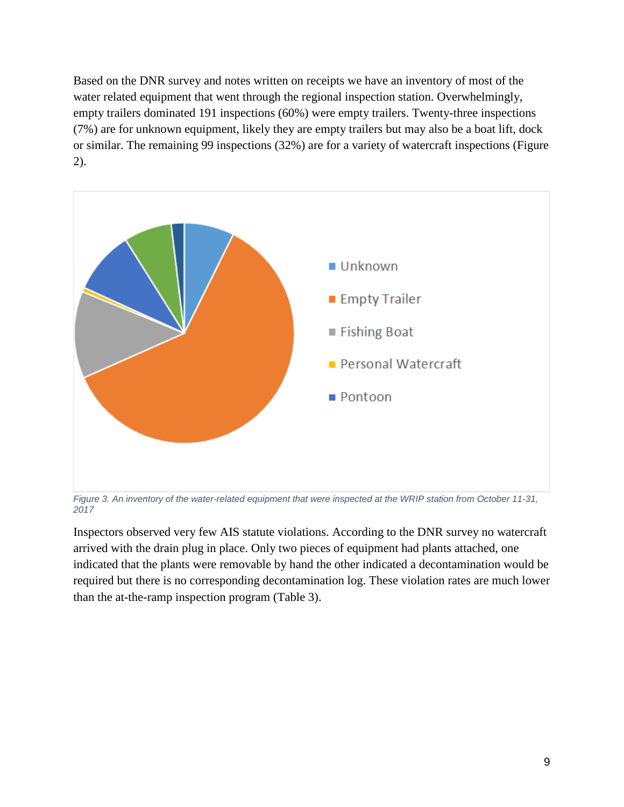Based on the DNR survey and notes written on receipts we have an inventory of most of the water related equipment that went through the regional inspection station. Overwhelmingly, empty trailers dominated 191 inspections (60%) were empty trailers. Twenty-three inspections (7%) are for unknown equipment, likely they are empty trailers but may also be a boat lift, dock or similar. The remaining 99 inspections (32%) are for a variety of watercraft inspections (Figure 2).



*Figure 3. An inventory of the water-related equipment that were inspected at the WRIP station from October 11-31, 2017*

Inspectors observed very few AIS statute violations. According to the DNR survey no watercraft arrived with the drain plug in place. Only two pieces of equipment had plants attached, one indicated that the plants were removable by hand the other indicated a decontamination would be required but there is no corresponding decontamination log. These violation rates are much lower than the at-the-ramp inspection program (Table 3).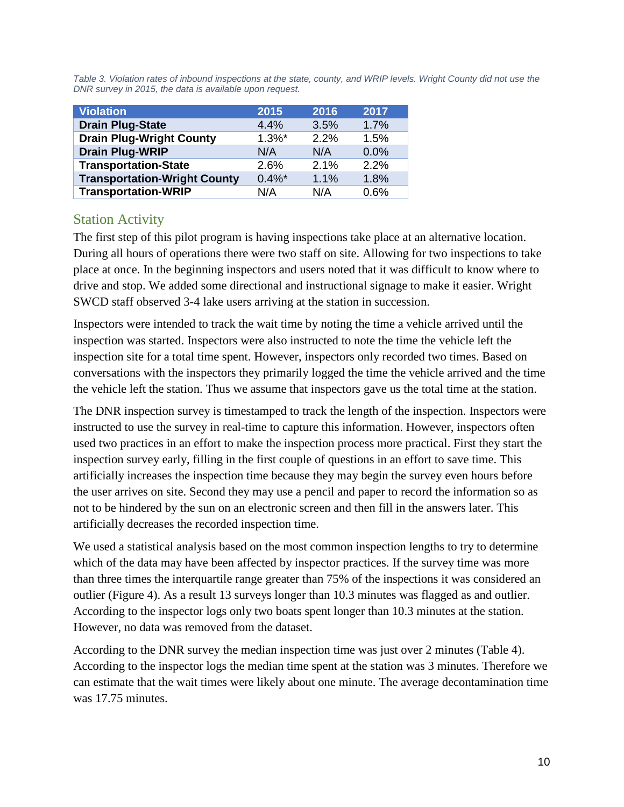Table 3. Violation rates of inbound inspections at the state, county, and WRIP levels. Wright County did not use the *DNR survey in 2015, the data is available upon request.*

| <b>Violation</b>                    | 2015      | 2016 | 2017 |
|-------------------------------------|-----------|------|------|
| <b>Drain Plug-State</b>             | 4.4%      | 3.5% | 1.7% |
| <b>Drain Plug-Wright County</b>     | $1.3\%$ * | 2.2% | 1.5% |
| <b>Drain Plug-WRIP</b>              | N/A       | N/A  | 0.0% |
| <b>Transportation-State</b>         | 2.6%      | 2.1% | 2.2% |
| <b>Transportation-Wright County</b> | $0.4\%$ * | 1.1% | 1.8% |
| <b>Transportation-WRIP</b>          | N/A       | N/A  | 0.6% |

### <span id="page-9-0"></span>Station Activity

The first step of this pilot program is having inspections take place at an alternative location. During all hours of operations there were two staff on site. Allowing for two inspections to take place at once. In the beginning inspectors and users noted that it was difficult to know where to drive and stop. We added some directional and instructional signage to make it easier. Wright SWCD staff observed 3-4 lake users arriving at the station in succession.

Inspectors were intended to track the wait time by noting the time a vehicle arrived until the inspection was started. Inspectors were also instructed to note the time the vehicle left the inspection site for a total time spent. However, inspectors only recorded two times. Based on conversations with the inspectors they primarily logged the time the vehicle arrived and the time the vehicle left the station. Thus we assume that inspectors gave us the total time at the station.

The DNR inspection survey is timestamped to track the length of the inspection. Inspectors were instructed to use the survey in real-time to capture this information. However, inspectors often used two practices in an effort to make the inspection process more practical. First they start the inspection survey early, filling in the first couple of questions in an effort to save time. This artificially increases the inspection time because they may begin the survey even hours before the user arrives on site. Second they may use a pencil and paper to record the information so as not to be hindered by the sun on an electronic screen and then fill in the answers later. This artificially decreases the recorded inspection time.

We used a statistical analysis based on the most common inspection lengths to try to determine which of the data may have been affected by inspector practices. If the survey time was more than three times the interquartile range greater than 75% of the inspections it was considered an outlier (Figure 4). As a result 13 surveys longer than 10.3 minutes was flagged as and outlier. According to the inspector logs only two boats spent longer than 10.3 minutes at the station. However, no data was removed from the dataset.

According to the DNR survey the median inspection time was just over 2 minutes (Table 4). According to the inspector logs the median time spent at the station was 3 minutes. Therefore we can estimate that the wait times were likely about one minute. The average decontamination time was 17.75 minutes.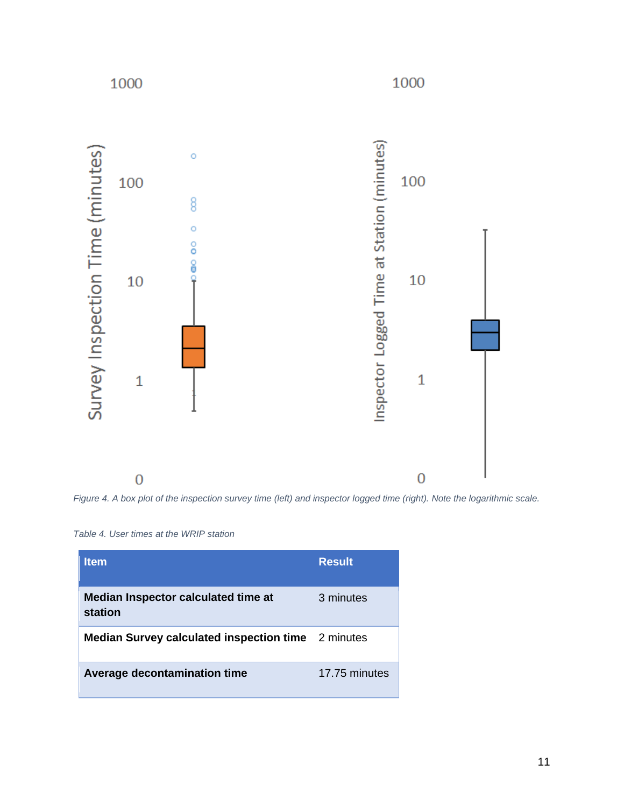

*Figure 4. A box plot of the inspection survey time (left) and inspector logged time (right). Note the logarithmic scale.*

| Table 4. User times at the WRIP station |  |  |  |
|-----------------------------------------|--|--|--|
|                                         |  |  |  |

| <b>Item</b>                                               | <b>Result</b> |
|-----------------------------------------------------------|---------------|
| Median Inspector calculated time at<br>station            | 3 minutes     |
| <b>Median Survey calculated inspection time</b> 2 minutes |               |
| Average decontamination time                              | 17.75 minutes |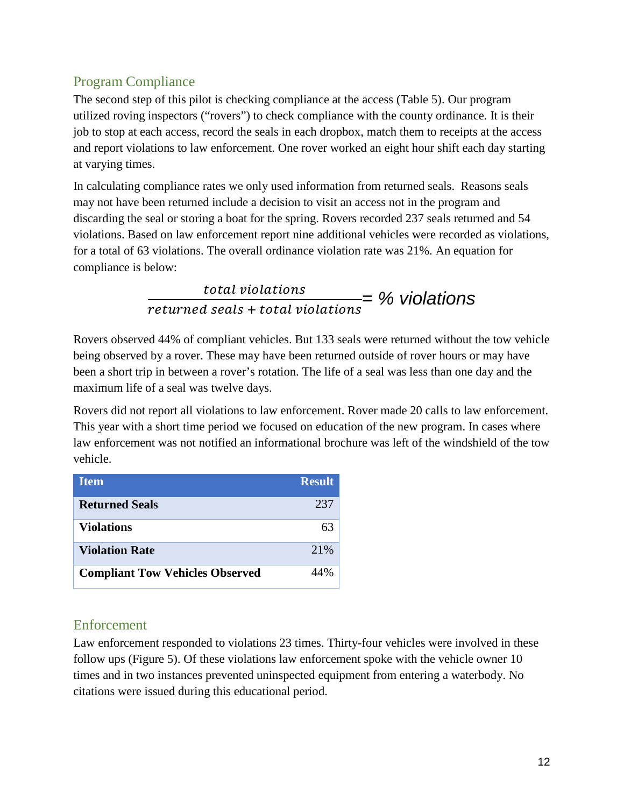## <span id="page-11-0"></span>Program Compliance

The second step of this pilot is checking compliance at the access (Table 5). Our program utilized roving inspectors ("rovers") to check compliance with the county ordinance. It is their job to stop at each access, record the seals in each dropbox, match them to receipts at the access and report violations to law enforcement. One rover worked an eight hour shift each day starting at varying times.

In calculating compliance rates we only used information from returned seals. Reasons seals may not have been returned include a decision to visit an access not in the program and discarding the seal or storing a boat for the spring. Rovers recorded 237 seals returned and 54 violations. Based on law enforcement report nine additional vehicles were recorded as violations, for a total of 63 violations. The overall ordinance violation rate was 21%. An equation for compliance is below:

> <u>total violations</u> returned seals + total violations *= % violations*

Rovers observed 44% of compliant vehicles. But 133 seals were returned without the tow vehicle being observed by a rover. These may have been returned outside of rover hours or may have been a short trip in between a rover's rotation. The life of a seal was less than one day and the maximum life of a seal was twelve days.

Rovers did not report all violations to law enforcement. Rover made 20 calls to law enforcement. This year with a short time period we focused on education of the new program. In cases where law enforcement was not notified an informational brochure was left of the windshield of the tow vehicle.

| <b>Item</b>                            | <b>Result</b> |
|----------------------------------------|---------------|
| <b>Returned Seals</b>                  | 237           |
| <b>Violations</b>                      | 63            |
| <b>Violation Rate</b>                  | 21%           |
| <b>Compliant Tow Vehicles Observed</b> |               |

### <span id="page-11-1"></span>Enforcement

Law enforcement responded to violations 23 times. Thirty-four vehicles were involved in these follow ups (Figure 5). Of these violations law enforcement spoke with the vehicle owner 10 times and in two instances prevented uninspected equipment from entering a waterbody. No citations were issued during this educational period.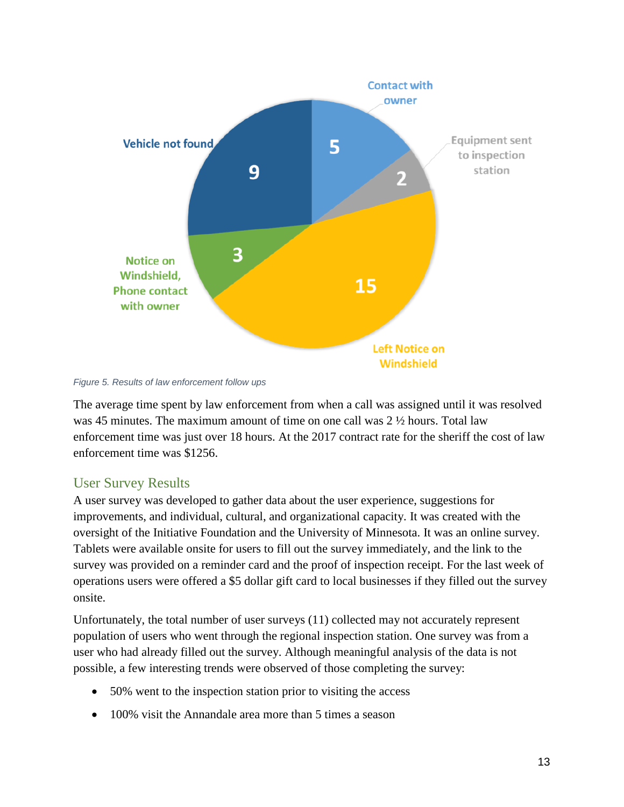

*Figure 5. Results of law enforcement follow ups*

The average time spent by law enforcement from when a call was assigned until it was resolved was 45 minutes. The maximum amount of time on one call was 2 ½ hours. Total law enforcement time was just over 18 hours. At the 2017 contract rate for the sheriff the cost of law enforcement time was \$1256.

## <span id="page-12-0"></span>User Survey Results

A user survey was developed to gather data about the user experience, suggestions for improvements, and individual, cultural, and organizational capacity. It was created with the oversight of the Initiative Foundation and the University of Minnesota. It was an online survey. Tablets were available onsite for users to fill out the survey immediately, and the link to the survey was provided on a reminder card and the proof of inspection receipt. For the last week of operations users were offered a \$5 dollar gift card to local businesses if they filled out the survey onsite.

Unfortunately, the total number of user surveys (11) collected may not accurately represent population of users who went through the regional inspection station. One survey was from a user who had already filled out the survey. Although meaningful analysis of the data is not possible, a few interesting trends were observed of those completing the survey:

- 50% went to the inspection station prior to visiting the access
- 100% visit the Annandale area more than 5 times a season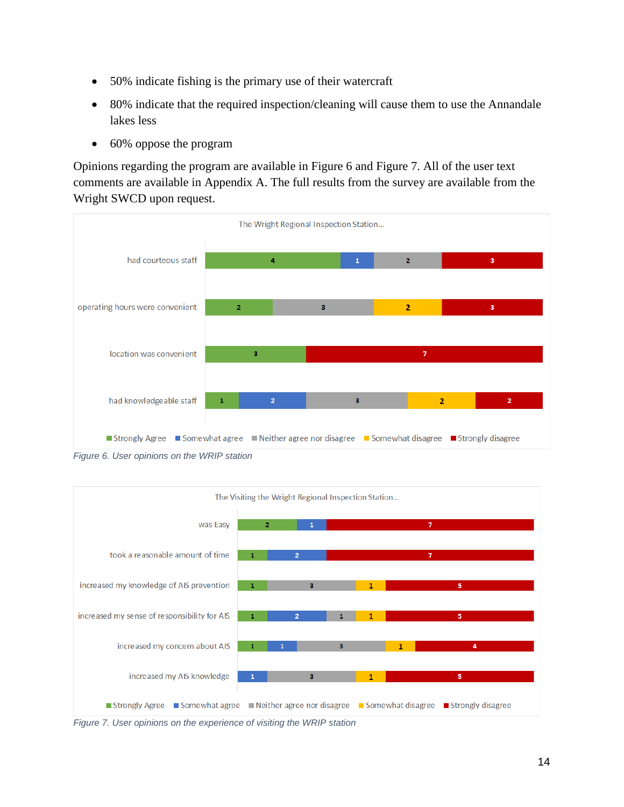- 50% indicate fishing is the primary use of their watercraft
- 80% indicate that the required inspection/cleaning will cause them to use the Annandale lakes less
- 60% oppose the program

Opinions regarding the program are available in Figure 6 and Figure 7. All of the user text comments are available in Appendix A. The full results from the survey are available from the Wright SWCD upon request.



*Figure 6. User opinions on the WRIP station*



*Figure 7. User opinions on the experience of visiting the WRIP station*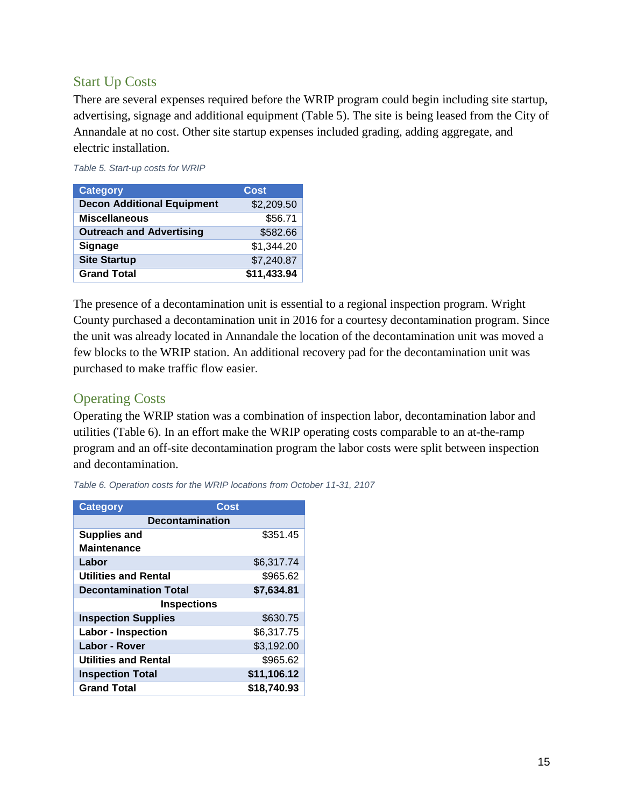### <span id="page-14-0"></span>Start Up Costs

There are several expenses required before the WRIP program could begin including site startup, advertising, signage and additional equipment (Table 5). The site is being leased from the City of Annandale at no cost. Other site startup expenses included grading, adding aggregate, and electric installation.

*Table 5. Start-up costs for WRIP*

| <b>Category</b>                   | Cost        |
|-----------------------------------|-------------|
| <b>Decon Additional Equipment</b> | \$2,209.50  |
| <b>Miscellaneous</b>              | \$56.71     |
| <b>Outreach and Advertising</b>   | \$582.66    |
| <b>Signage</b>                    | \$1,344.20  |
| <b>Site Startup</b>               | \$7,240.87  |
| <b>Grand Total</b>                | \$11,433.94 |

The presence of a decontamination unit is essential to a regional inspection program. Wright County purchased a decontamination unit in 2016 for a courtesy decontamination program. Since the unit was already located in Annandale the location of the decontamination unit was moved a few blocks to the WRIP station. An additional recovery pad for the decontamination unit was purchased to make traffic flow easier.

### <span id="page-14-1"></span>Operating Costs

Operating the WRIP station was a combination of inspection labor, decontamination labor and utilities (Table 6). In an effort make the WRIP operating costs comparable to an at-the-ramp program and an off-site decontamination program the labor costs were split between inspection and decontamination.

| <b>Category</b>              | Cost                   |  |  |  |  |  |
|------------------------------|------------------------|--|--|--|--|--|
|                              | <b>Decontamination</b> |  |  |  |  |  |
| <b>Supplies and</b>          | \$351.45               |  |  |  |  |  |
| <b>Maintenance</b>           |                        |  |  |  |  |  |
| Labor                        | \$6,317.74             |  |  |  |  |  |
| <b>Utilities and Rental</b>  | \$965.62               |  |  |  |  |  |
| <b>Decontamination Total</b> | \$7,634.81             |  |  |  |  |  |
| <b>Inspections</b>           |                        |  |  |  |  |  |
| <b>Inspection Supplies</b>   | \$630.75               |  |  |  |  |  |
| <b>Labor - Inspection</b>    | \$6,317.75             |  |  |  |  |  |
| Labor - Rover                | \$3,192.00             |  |  |  |  |  |
| Utilities and Rental         | \$965.62               |  |  |  |  |  |
| <b>Inspection Total</b>      | \$11,106.12            |  |  |  |  |  |
| <b>Grand Total</b>           | \$18.740.93            |  |  |  |  |  |

*Table 6. Operation costs for the WRIP locations from October 11-31, 2107*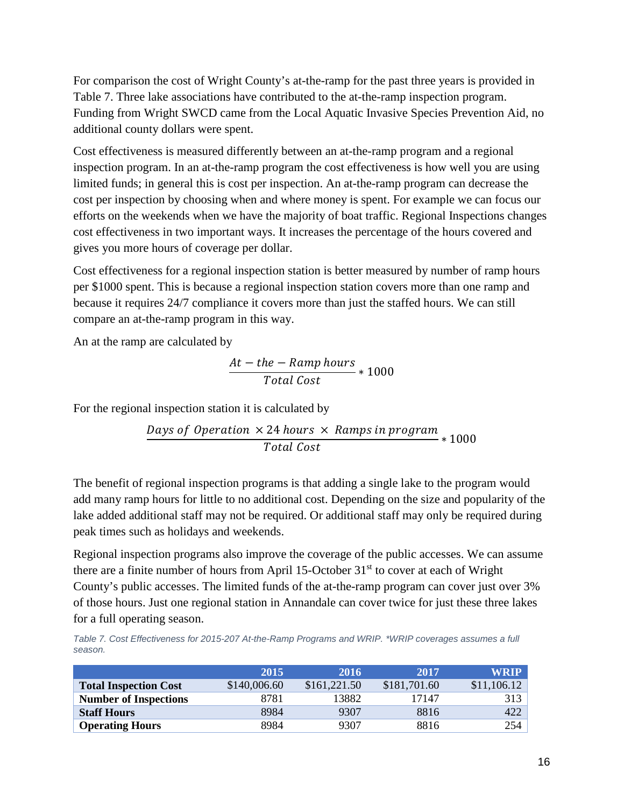For comparison the cost of Wright County's at-the-ramp for the past three years is provided in Table 7. Three lake associations have contributed to the at-the-ramp inspection program. Funding from Wright SWCD came from the Local Aquatic Invasive Species Prevention Aid, no additional county dollars were spent.

Cost effectiveness is measured differently between an at-the-ramp program and a regional inspection program. In an at-the-ramp program the cost effectiveness is how well you are using limited funds; in general this is cost per inspection. An at-the-ramp program can decrease the cost per inspection by choosing when and where money is spent. For example we can focus our efforts on the weekends when we have the majority of boat traffic. Regional Inspections changes cost effectiveness in two important ways. It increases the percentage of the hours covered and gives you more hours of coverage per dollar.

Cost effectiveness for a regional inspection station is better measured by number of ramp hours per \$1000 spent. This is because a regional inspection station covers more than one ramp and because it requires 24/7 compliance it covers more than just the staffed hours. We can still compare an at-the-ramp program in this way.

An at the ramp are calculated by

$$
\frac{At - the - Ramp hours}{Total Cost} * 1000
$$

For the regional inspection station it is calculated by

$$
\frac{Days\ of\ Operation\times 24\ hours\times Ramps\ in\ program}{Total\ Cost} * 1000
$$

The benefit of regional inspection programs is that adding a single lake to the program would add many ramp hours for little to no additional cost. Depending on the size and popularity of the lake added additional staff may not be required. Or additional staff may only be required during peak times such as holidays and weekends.

Regional inspection programs also improve the coverage of the public accesses. We can assume there are a finite number of hours from April 15-October  $31<sup>st</sup>$  to cover at each of Wright County's public accesses. The limited funds of the at-the-ramp program can cover just over 3% of those hours. Just one regional station in Annandale can cover twice for just these three lakes for a full operating season.

*Table 7. Cost Effectiveness for 2015-207 At-the-Ramp Programs and WRIP. \*WRIP coverages assumes a full season.* 

|                              | 2015         | 2016         | 2017         | <b>WRIP</b> |
|------------------------------|--------------|--------------|--------------|-------------|
| <b>Total Inspection Cost</b> | \$140,006.60 | \$161,221.50 | \$181,701.60 | \$11,106.12 |
| <b>Number of Inspections</b> | 8781         | 13882        | 17147        | 313         |
| <b>Staff Hours</b>           | 8984         | 9307         | 8816         | 422         |
| <b>Operating Hours</b>       | 8984         | 9307         | 8816         | 254         |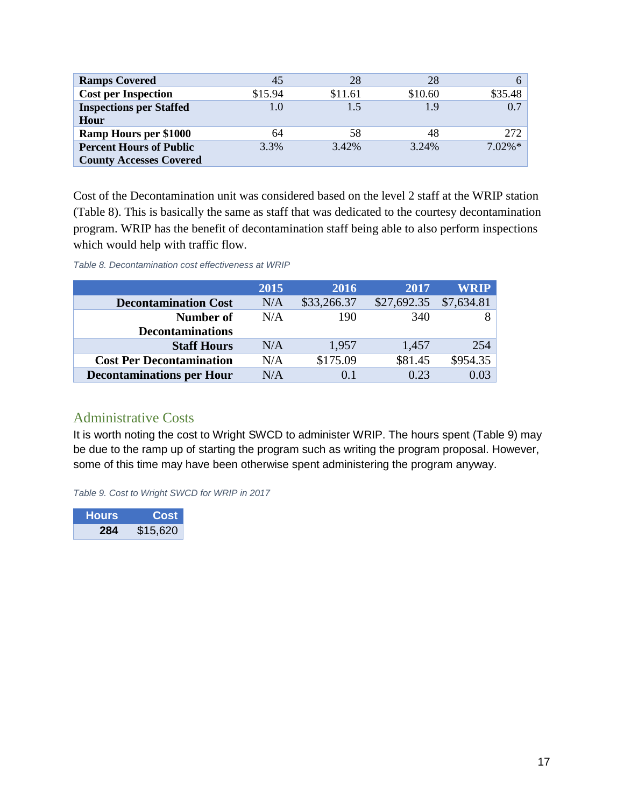| <b>Ramps Covered</b>                   | 45      | 28      | 28      |           |
|----------------------------------------|---------|---------|---------|-----------|
| <b>Cost per Inspection</b>             | \$15.94 | \$11.61 | \$10.60 | \$35.48   |
| <b>Inspections per Staffed</b><br>Hour |         | 1.5     | 1.9     | 0.7       |
| <b>Ramp Hours per \$1000</b>           | 64      | 58      | 48      | 272       |
| <b>Percent Hours of Public</b>         | 3.3%    | 3.42%   | 3.24%   | $7.02\%*$ |
| <b>County Accesses Covered</b>         |         |         |         |           |

Cost of the Decontamination unit was considered based on the level 2 staff at the WRIP station (Table 8). This is basically the same as staff that was dedicated to the courtesy decontamination program. WRIP has the benefit of decontamination staff being able to also perform inspections which would help with traffic flow.

*Table 8. Decontamination cost effectiveness at WRIP*

|                                  | 2015 | 2016        | 2017        | WRIP       |
|----------------------------------|------|-------------|-------------|------------|
| <b>Decontamination Cost</b>      | N/A  | \$33,266.37 | \$27,692.35 | \$7,634.81 |
| Number of                        | N/A  | 190         | 340         |            |
| <b>Decontaminations</b>          |      |             |             |            |
| <b>Staff Hours</b>               | N/A  | 1,957       | 1,457       | 254        |
| <b>Cost Per Decontamination</b>  | N/A  | \$175.09    | \$81.45     | \$954.35   |
| <b>Decontaminations per Hour</b> | N/A  | (0.1)       | 0.23        | 0.03       |

### <span id="page-16-0"></span>Administrative Costs

It is worth noting the cost to Wright SWCD to administer WRIP. The hours spent (Table 9) may be due to the ramp up of starting the program such as writing the program proposal. However, some of this time may have been otherwise spent administering the program anyway.

*Table 9. Cost to Wright SWCD for WRIP in 2017*

| <b>Hours</b> | Cost     |
|--------------|----------|
| 284          | \$15,620 |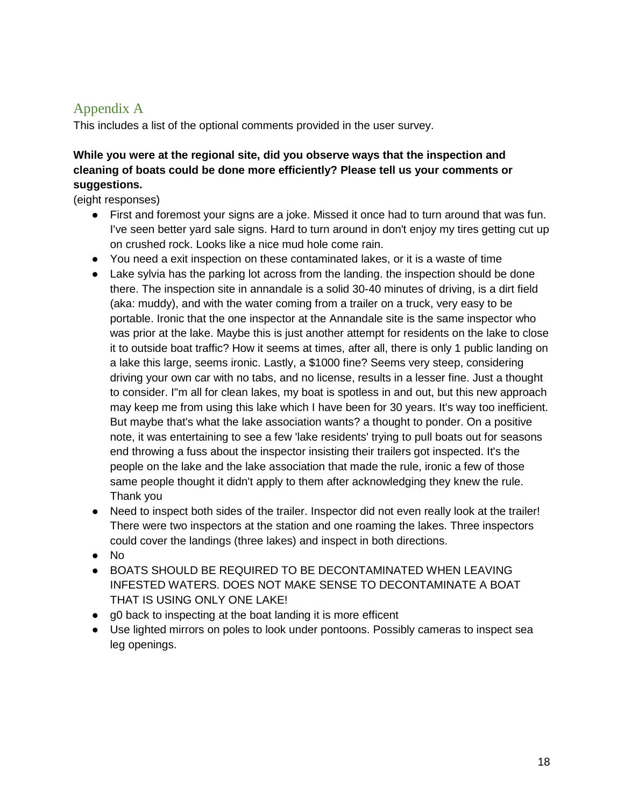## <span id="page-17-0"></span>Appendix A

This includes a list of the optional comments provided in the user survey.

### **While you were at the regional site, did you observe ways that the inspection and cleaning of boats could be done more efficiently? Please tell us your comments or suggestions.**

(eight responses)

- First and foremost your signs are a joke. Missed it once had to turn around that was fun. I've seen better yard sale signs. Hard to turn around in don't enjoy my tires getting cut up on crushed rock. Looks like a nice mud hole come rain.
- You need a exit inspection on these contaminated lakes, or it is a waste of time
- Lake sylvia has the parking lot across from the landing. the inspection should be done there. The inspection site in annandale is a solid 30-40 minutes of driving, is a dirt field (aka: muddy), and with the water coming from a trailer on a truck, very easy to be portable. Ironic that the one inspector at the Annandale site is the same inspector who was prior at the lake. Maybe this is just another attempt for residents on the lake to close it to outside boat traffic? How it seems at times, after all, there is only 1 public landing on a lake this large, seems ironic. Lastly, a \$1000 fine? Seems very steep, considering driving your own car with no tabs, and no license, results in a lesser fine. Just a thought to consider. I"m all for clean lakes, my boat is spotless in and out, but this new approach may keep me from using this lake which I have been for 30 years. It's way too inefficient. But maybe that's what the lake association wants? a thought to ponder. On a positive note, it was entertaining to see a few 'lake residents' trying to pull boats out for seasons end throwing a fuss about the inspector insisting their trailers got inspected. It's the people on the lake and the lake association that made the rule, ironic a few of those same people thought it didn't apply to them after acknowledging they knew the rule. Thank you
- Need to inspect both sides of the trailer. Inspector did not even really look at the trailer! There were two inspectors at the station and one roaming the lakes. Three inspectors could cover the landings (three lakes) and inspect in both directions.
- No
- BOATS SHOULD BE REQUIRED TO BE DECONTAMINATED WHEN LEAVING INFESTED WATERS. DOES NOT MAKE SENSE TO DECONTAMINATE A BOAT THAT IS USING ONLY ONE LAKE!
- g0 back to inspecting at the boat landing it is more efficent
- Use lighted mirrors on poles to look under pontoons. Possibly cameras to inspect sea leg openings.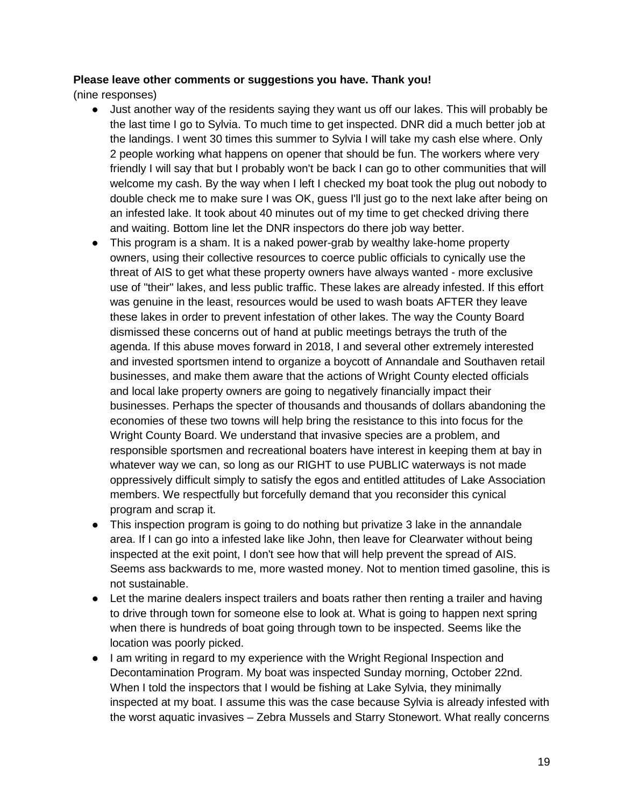#### **Please leave other comments or suggestions you have. Thank you!**

(nine responses)

- Just another way of the residents saying they want us off our lakes. This will probably be the last time I go to Sylvia. To much time to get inspected. DNR did a much better job at the landings. I went 30 times this summer to Sylvia I will take my cash else where. Only 2 people working what happens on opener that should be fun. The workers where very friendly I will say that but I probably won't be back I can go to other communities that will welcome my cash. By the way when I left I checked my boat took the plug out nobody to double check me to make sure I was OK, guess I'll just go to the next lake after being on an infested lake. It took about 40 minutes out of my time to get checked driving there and waiting. Bottom line let the DNR inspectors do there job way better.
- This program is a sham. It is a naked power-grab by wealthy lake-home property owners, using their collective resources to coerce public officials to cynically use the threat of AIS to get what these property owners have always wanted - more exclusive use of "their" lakes, and less public traffic. These lakes are already infested. If this effort was genuine in the least, resources would be used to wash boats AFTER they leave these lakes in order to prevent infestation of other lakes. The way the County Board dismissed these concerns out of hand at public meetings betrays the truth of the agenda. If this abuse moves forward in 2018, I and several other extremely interested and invested sportsmen intend to organize a boycott of Annandale and Southaven retail businesses, and make them aware that the actions of Wright County elected officials and local lake property owners are going to negatively financially impact their businesses. Perhaps the specter of thousands and thousands of dollars abandoning the economies of these two towns will help bring the resistance to this into focus for the Wright County Board. We understand that invasive species are a problem, and responsible sportsmen and recreational boaters have interest in keeping them at bay in whatever way we can, so long as our RIGHT to use PUBLIC waterways is not made oppressively difficult simply to satisfy the egos and entitled attitudes of Lake Association members. We respectfully but forcefully demand that you reconsider this cynical program and scrap it.
- This inspection program is going to do nothing but privatize 3 lake in the annandale area. If I can go into a infested lake like John, then leave for Clearwater without being inspected at the exit point, I don't see how that will help prevent the spread of AIS. Seems ass backwards to me, more wasted money. Not to mention timed gasoline, this is not sustainable.
- Let the marine dealers inspect trailers and boats rather then renting a trailer and having to drive through town for someone else to look at. What is going to happen next spring when there is hundreds of boat going through town to be inspected. Seems like the location was poorly picked.
- I am writing in regard to my experience with the Wright Regional Inspection and Decontamination Program. My boat was inspected Sunday morning, October 22nd. When I told the inspectors that I would be fishing at Lake Sylvia, they minimally inspected at my boat. I assume this was the case because Sylvia is already infested with the worst aquatic invasives – Zebra Mussels and Starry Stonewort. What really concerns